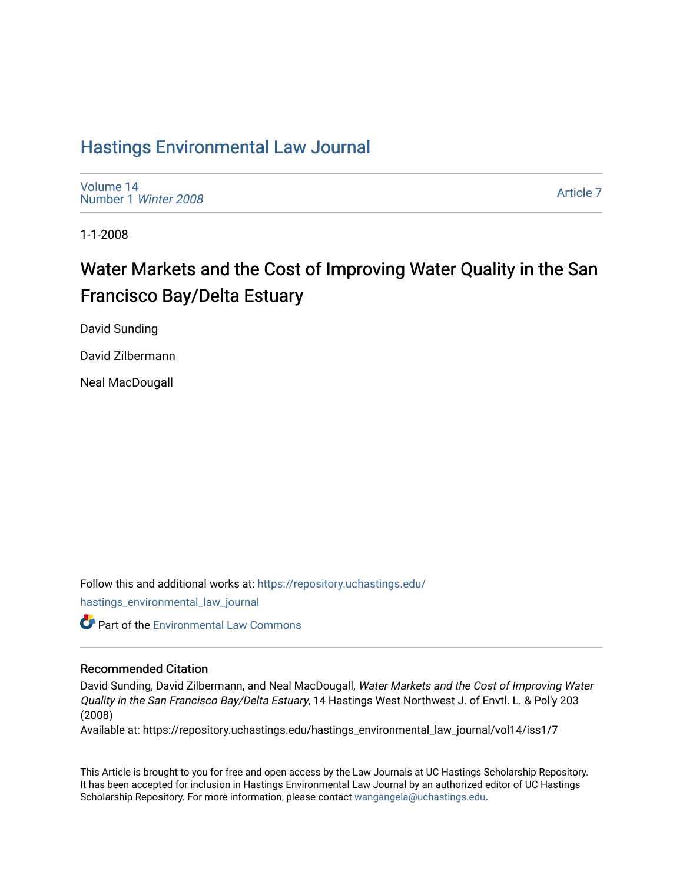## [Hastings Environmental Law Journal](https://repository.uchastings.edu/hastings_environmental_law_journal)

[Volume 14](https://repository.uchastings.edu/hastings_environmental_law_journal/vol14) [Number 1](https://repository.uchastings.edu/hastings_environmental_law_journal/vol14/iss1) Winter 2008

[Article 7](https://repository.uchastings.edu/hastings_environmental_law_journal/vol14/iss1/7) 

1-1-2008

# Water Markets and the Cost of Improving Water Quality in the San Francisco Bay/Delta Estuary

David Sunding

David Zilbermann

Neal MacDougall

Follow this and additional works at: [https://repository.uchastings.edu/](https://repository.uchastings.edu/hastings_environmental_law_journal?utm_source=repository.uchastings.edu%2Fhastings_environmental_law_journal%2Fvol14%2Fiss1%2F7&utm_medium=PDF&utm_campaign=PDFCoverPages) [hastings\\_environmental\\_law\\_journal](https://repository.uchastings.edu/hastings_environmental_law_journal?utm_source=repository.uchastings.edu%2Fhastings_environmental_law_journal%2Fvol14%2Fiss1%2F7&utm_medium=PDF&utm_campaign=PDFCoverPages) 

Part of the [Environmental Law Commons](http://network.bepress.com/hgg/discipline/599?utm_source=repository.uchastings.edu%2Fhastings_environmental_law_journal%2Fvol14%2Fiss1%2F7&utm_medium=PDF&utm_campaign=PDFCoverPages)

## Recommended Citation

David Sunding, David Zilbermann, and Neal MacDougall, Water Markets and the Cost of Improving Water Quality in the San Francisco Bay/Delta Estuary, 14 Hastings West Northwest J. of Envtl. L. & Pol'y 203 (2008)

Available at: https://repository.uchastings.edu/hastings\_environmental\_law\_journal/vol14/iss1/7

This Article is brought to you for free and open access by the Law Journals at UC Hastings Scholarship Repository. It has been accepted for inclusion in Hastings Environmental Law Journal by an authorized editor of UC Hastings Scholarship Repository. For more information, please contact [wangangela@uchastings.edu.](mailto:wangangela@uchastings.edu)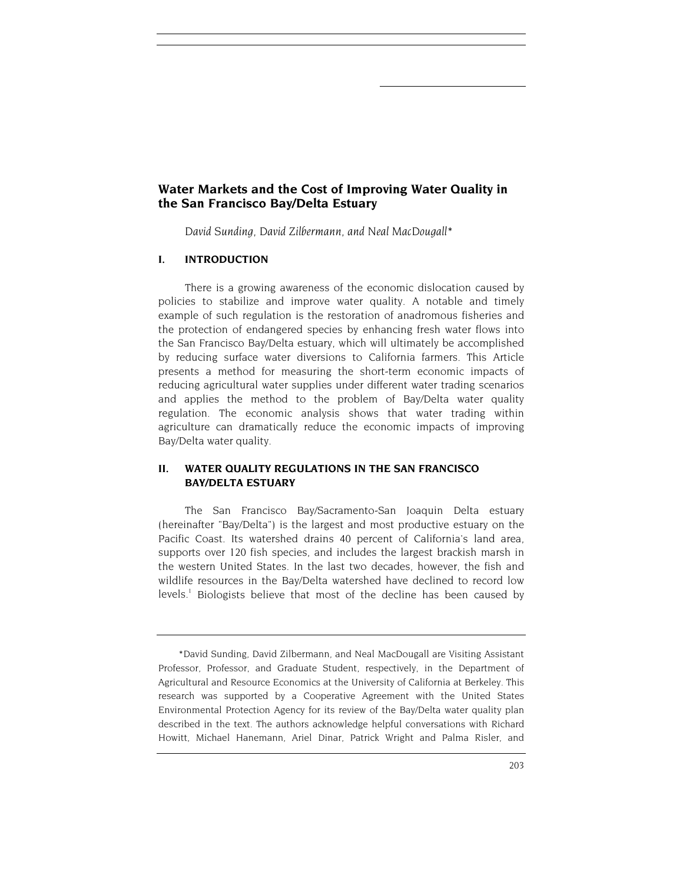## **Water Markets and the Cost of Improving Water Quality in the San Francisco Bay/Delta Estuary**

*David Sunding, David Zilbermann, and Neal MacDougall\** 

## **I. INTRODUCTION**

There is a growing awareness of the economic dislocation caused by policies to stabilize and improve water quality. A notable and timely example of such regulation is the restoration of anadromous fisheries and the protection of endangered species by enhancing fresh water flows into the San Francisco Bay/Delta estuary, which will ultimately be accomplished by reducing surface water diversions to California farmers. This Article presents a method for measuring the short-term economic impacts of reducing agricultural water supplies under different water trading scenarios and applies the method to the problem of Bay/Delta water quality regulation. The economic analysis shows that water trading within agriculture can dramatically reduce the economic impacts of improving Bay/Delta water quality.

## **II. WATER QUALITY REGULATIONS IN THE SAN FRANCISCO BAY/DELTA ESTUARY**

The San Francisco Bay/Sacramento-San Joaquin Delta estuary (hereinafter "Bay/Delta") is the largest and most productive estuary on the Pacific Coast. Its watershed drains 40 percent of California's land area, supports over 120 fish species, and includes the largest brackish marsh in the western United States. In the last two decades, however, the fish and wildlife resources in the Bay/Delta watershed have declined to record low levels.<sup>1</sup> Biologists believe that most of the decline has been caused by

<sup>\*</sup>David Sunding, David Zilbermann, and Neal MacDougall are Visiting Assistant Professor, Professor, and Graduate Student, respectively, in the Department of Agricultural and Resource Economics at the University of California at Berkeley. This research was supported by a Cooperative Agreement with the United States Environmental Protection Agency for its review of the Bay/Delta water quality plan described in the text. The authors acknowledge helpful conversations with Richard Howitt, Michael Hanemann, Ariel Dinar, Patrick Wright and Palma Risler, and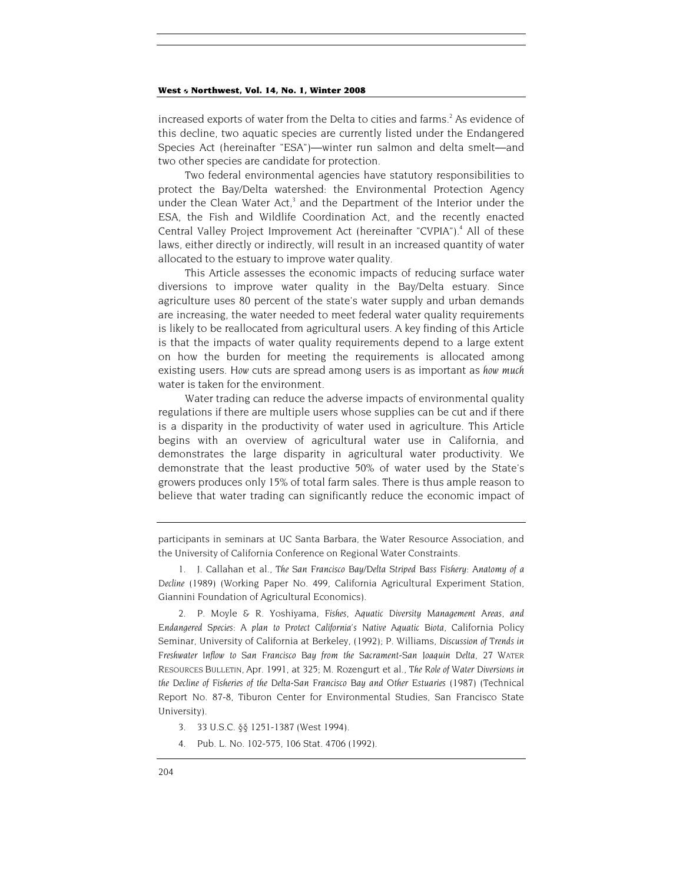increased exports of water from the Delta to cities and farms.<sup>2</sup> As evidence of this decline, two aquatic species are currently listed under the Endangered Species Act (hereinafter "ESA")—winter run salmon and delta smelt—and two other species are candidate for protection.

Two federal environmental agencies have statutory responsibilities to protect the Bay/Delta watershed: the Environmental Protection Agency under the Clean Water Act, $3$  and the Department of the Interior under the ESA, the Fish and Wildlife Coordination Act, and the recently enacted Central Valley Project Improvement Act (hereinafter "CVPIA").<sup>4</sup> All of these laws, either directly or indirectly, will result in an increased quantity of water allocated to the estuary to improve water quality.

This Article assesses the economic impacts of reducing surface water diversions to improve water quality in the Bay/Delta estuary. Since agriculture uses 80 percent of the state's water supply and urban demands are increasing, the water needed to meet federal water quality requirements is likely to be reallocated from agricultural users. A key finding of this Article is that the impacts of water quality requirements depend to a large extent on how the burden for meeting the requirements is allocated among existing users. *How* cuts are spread among users is as important as *how much* water is taken for the environment.

Water trading can reduce the adverse impacts of environmental quality regulations if there are multiple users whose supplies can be cut and if there is a disparity in the productivity of water used in agriculture. This Article begins with an overview of agricultural water use in California, and demonstrates the large disparity in agricultural water productivity. We demonstrate that the least productive 50% of water used by the State's growers produces only 15% of total farm sales. There is thus ample reason to believe that water trading can significantly reduce the economic impact of

2. P. Moyle & R. Yoshiyama, *Fishes, Aquatic Diversity Management Areas, and Endangered Species: A plan to Protect California's Native Aquatic Biota,* California Policy Seminar, University of California at Berkeley, (1992); P. Williams, *Discussion of Trends in Freshwater Inflow to San Francisco Bay from the Sacrament-San Joaquin Delta*, 27 WATER RESOURCES BULLETIN, Apr. 1991, at 325; M. Rozengurt et al., *The Role of Water Diversions in*  the Decline of Fisheries of the Delta-San Francisco Bay and Other Estuaries (1987) (Technical Report No. 87-8, Tiburon Center for Environmental Studies, San Francisco State University).

- 3. 33 U.S.C. §§ 1251-1387 (West 1994).
- 4. Pub. L. No. 102-575, 106 Stat. 4706 (1992).

participants in seminars at UC Santa Barbara, the Water Resource Association, and the University of California Conference on Regional Water Constraints.

<sup>1.</sup> J. Callahan et al., *The San Francisco Bay/Delta Striped Bass Fishery: Anatomy of a Decline* (1989) (Working Paper No. 499, California Agricultural Experiment Station, Giannini Foundation of Agricultural Economics).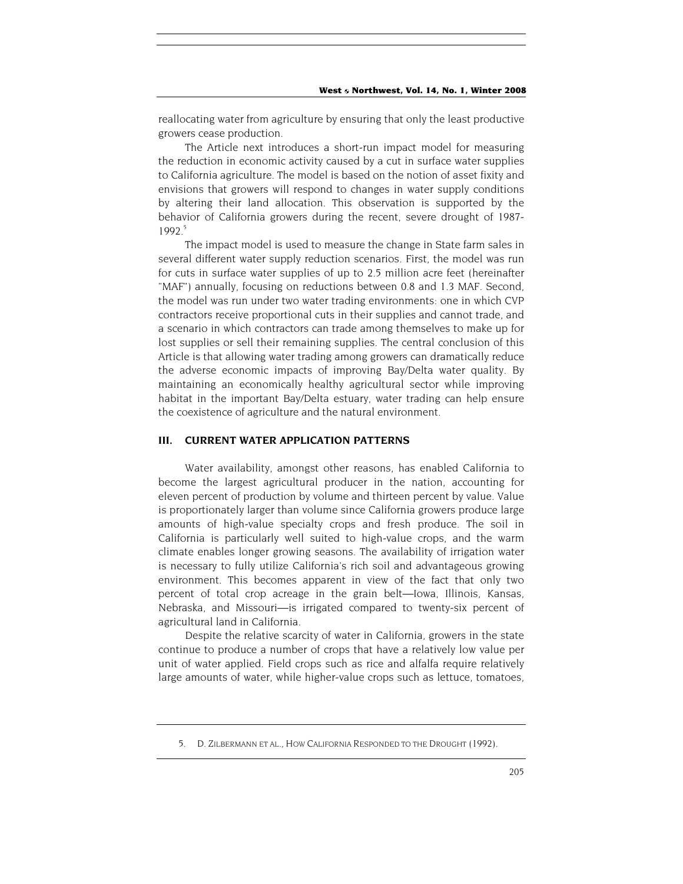reallocating water from agriculture by ensuring that only the least productive growers cease production.

The Article next introduces a short-run impact model for measuring the reduction in economic activity caused by a cut in surface water supplies to California agriculture. The model is based on the notion of asset fixity and envisions that growers will respond to changes in water supply conditions by altering their land allocation. This observation is supported by the behavior of California growers during the recent, severe drought of 1987- 1992<sup>5</sup>

The impact model is used to measure the change in State farm sales in several different water supply reduction scenarios. First, the model was run for cuts in surface water supplies of up to 2.5 million acre feet (hereinafter "MAF") annually, focusing on reductions between 0.8 and 1.3 MAF. Second, the model was run under two water trading environments: one in which CVP contractors receive proportional cuts in their supplies and cannot trade, and a scenario in which contractors can trade among themselves to make up for lost supplies or sell their remaining supplies. The central conclusion of this Article is that allowing water trading among growers can dramatically reduce the adverse economic impacts of improving Bay/Delta water quality. By maintaining an economically healthy agricultural sector while improving habitat in the important Bay/Delta estuary, water trading can help ensure the coexistence of agriculture and the natural environment.

#### **III. CURRENT WATER APPLICATION PATTERNS**

Water availability, amongst other reasons, has enabled California to become the largest agricultural producer in the nation, accounting for eleven percent of production by volume and thirteen percent by value. Value is proportionately larger than volume since California growers produce large amounts of high-value specialty crops and fresh produce. The soil in California is particularly well suited to high-value crops, and the warm climate enables longer growing seasons. The availability of irrigation water is necessary to fully utilize California's rich soil and advantageous growing environment. This becomes apparent in view of the fact that only two percent of total crop acreage in the grain belt—Iowa, Illinois, Kansas, Nebraska, and Missouri—is irrigated compared to twenty-six percent of agricultural land in California.

Despite the relative scarcity of water in California, growers in the state continue to produce a number of crops that have a relatively low value per unit of water applied. Field crops such as rice and alfalfa require relatively large amounts of water, while higher-value crops such as lettuce, tomatoes,

<sup>5.</sup> D. ZILBERMANN ET AL., HOW CALIFORNIA RESPONDED TO THE DROUGHT (1992).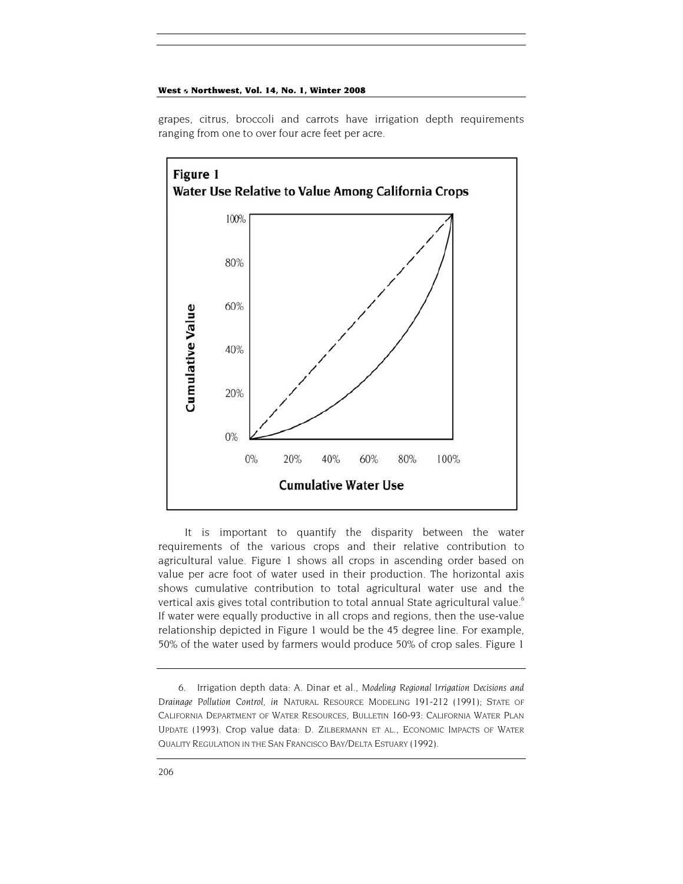grapes, citrus, broccoli and carrots have irrigation depth requirements ranging from one to over four acre feet per acre.



It is important to quantify the disparity between the water requirements of the various crops and their relative contribution to agricultural value. Figure 1 shows all crops in ascending order based on value per acre foot of water used in their production. The horizontal axis shows cumulative contribution to total agricultural water use and the vertical axis gives total contribution to total annual State agricultural value.<sup>6</sup> If water were equally productive in all crops and regions, then the use-value relationship depicted in Figure 1 would be the 45 degree line. For example, 50% of the water used by farmers would produce 50% of crop sales. Figure 1

<sup>6.</sup> Irrigation depth data: A. Dinar et al., *Modeling Regional Irrigation Decisions and Drainage Pollution Control, in* NATURAL RESOURCE MODELING 191-212 (1991); STATE OF CALIFORNIA DEPARTMENT OF WATER RESOURCES, BULLETIN 160-93: CALIFORNIA WATER PLAN UPDATE (1993). Crop value data: D. ZILBERMANN ET AL., ECONOMIC IMPACTS OF WATER QUALITY REGULATION IN THE SAN FRANCISCO BAY/DELTA ESTUARY (1992).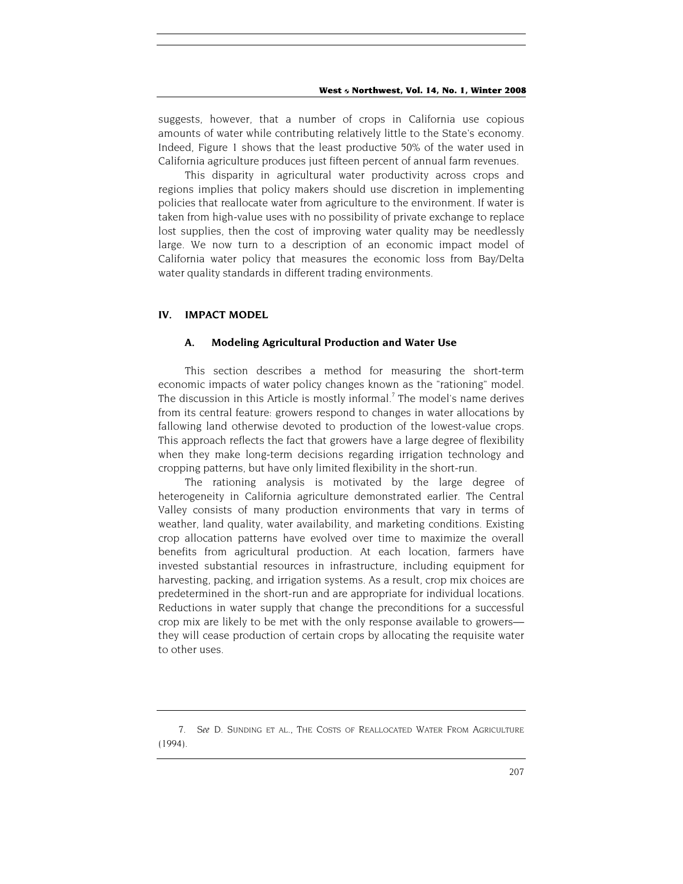suggests, however, that a number of crops in California use copious amounts of water while contributing relatively little to the State's economy. Indeed, Figure 1 shows that the least productive 50% of the water used in California agriculture produces just fifteen percent of annual farm revenues.

This disparity in agricultural water productivity across crops and regions implies that policy makers should use discretion in implementing policies that reallocate water from agriculture to the environment. If water is taken from high-value uses with no possibility of private exchange to replace lost supplies, then the cost of improving water quality may be needlessly large. We now turn to a description of an economic impact model of California water policy that measures the economic loss from Bay/Delta water quality standards in different trading environments.

#### **IV. IMPACT MODEL**

#### **A. Modeling Agricultural Production and Water Use**

This section describes a method for measuring the short-term economic impacts of water policy changes known as the "rationing" model. The discussion in this Article is mostly informal.<sup>7</sup> The model's name derives from its central feature: growers respond to changes in water allocations by fallowing land otherwise devoted to production of the lowest-value crops. This approach reflects the fact that growers have a large degree of flexibility when they make long-term decisions regarding irrigation technology and cropping patterns, but have only limited flexibility in the short-run.

The rationing analysis is motivated by the large degree of heterogeneity in California agriculture demonstrated earlier. The Central Valley consists of many production environments that vary in terms of weather, land quality, water availability, and marketing conditions. Existing crop allocation patterns have evolved over time to maximize the overall benefits from agricultural production. At each location, farmers have invested substantial resources in infrastructure, including equipment for harvesting, packing, and irrigation systems. As a result, crop mix choices are predetermined in the short-run and are appropriate for individual locations. Reductions in water supply that change the preconditions for a successful crop mix are likely to be met with the only response available to growers they will cease production of certain crops by allocating the requisite water to other uses.

<sup>7</sup>*. See* D. SUNDING ET AL., THE COSTS OF REALLOCATED WATER FROM AGRICULTURE (1994).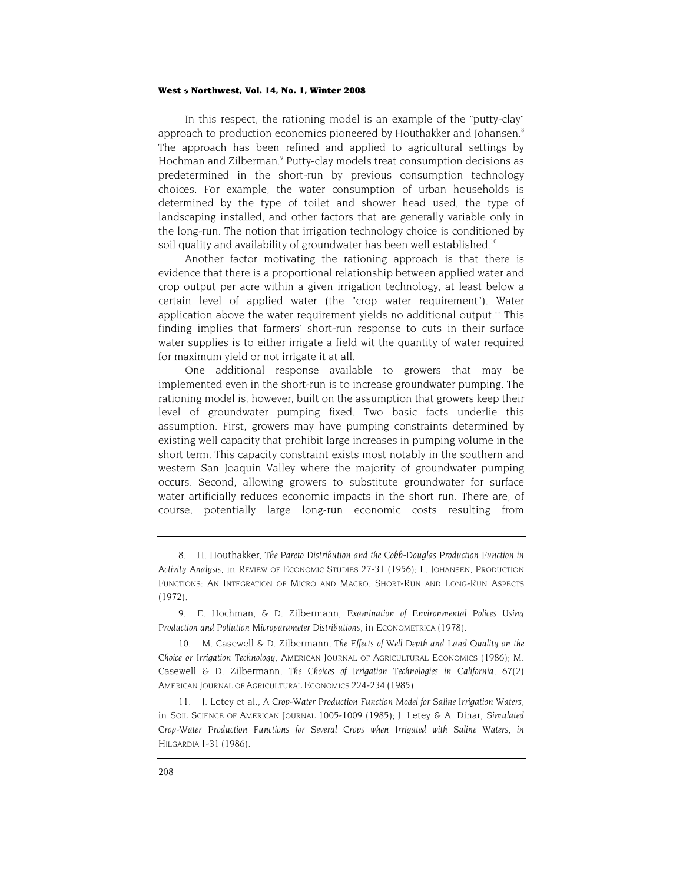In this respect, the rationing model is an example of the "putty-clay" approach to production economics pioneered by Houthakker and Johansen.<sup>8</sup> The approach has been refined and applied to agricultural settings by Hochman and Zilberman.<sup>9</sup> Putty-clay models treat consumption decisions as predetermined in the short-run by previous consumption technology choices. For example, the water consumption of urban households is determined by the type of toilet and shower head used, the type of landscaping installed, and other factors that are generally variable only in the long-run. The notion that irrigation technology choice is conditioned by soil quality and availability of groundwater has been well established.<sup>10</sup>

Another factor motivating the rationing approach is that there is evidence that there is a proportional relationship between applied water and crop output per acre within a given irrigation technology, at least below a certain level of applied water (the "crop water requirement"). Water application above the water requirement yields no additional output.<sup>11</sup> This finding implies that farmers' short-run response to cuts in their surface water supplies is to either irrigate a field wit the quantity of water required for maximum yield or not irrigate it at all.

One additional response available to growers that may be implemented even in the short-run is to increase groundwater pumping. The rationing model is, however, built on the assumption that growers keep their level of groundwater pumping fixed. Two basic facts underlie this assumption. First, growers may have pumping constraints determined by existing well capacity that prohibit large increases in pumping volume in the short term. This capacity constraint exists most notably in the southern and western San Joaquin Valley where the majority of groundwater pumping occurs. Second, allowing growers to substitute groundwater for surface water artificially reduces economic impacts in the short run. There are, of course, potentially large long-run economic costs resulting from

<sup>8.</sup> H. Houthakker, *The Pareto Distribution and the Cobb-Douglas Production Function in Activity Analysis*, in REVIEW OF ECONOMIC STUDIES 27-31 (1956); L. JOHANSEN, PRODUCTION FUNCTIONS: AN INTEGRATION OF MICRO AND MACRO. SHORT-RUN AND LONG-RUN ASPECTS (1972).

<sup>9.</sup> E. Hochman, & D. Zilbermann, *Examination of Environmental Polices Using Production and Pollution Microparameter Distributions,* in ECONOMETRICA (1978).

<sup>10.</sup> M. Casewell & D. Zilbermann, *The Effects of Well Depth and Land Quality on the Choice or Irrigation Technology*, AMERICAN JOURNAL OF AGRICULTURAL ECONOMICS (1986); M. Casewell & D. Zilbermann, *The Choices of Irrigation Technologies in California,* 67(2) AMERICAN JOURNAL OF AGRICULTURAL ECONOMICS 224-234 (1985).

<sup>11.</sup> J. Letey et al., *A Crop-Water Production Function Model for Saline Irrigation Waters*, in SOIL SCIENCE OF AMERICAN JOURNAL 1005-1009 (1985); J. Letey & A. Dinar, *Simulated Crop-Water Production Functions for Several Crops when Irrigated with Saline Waters*, *in* HILGARDIA 1-31 (1986).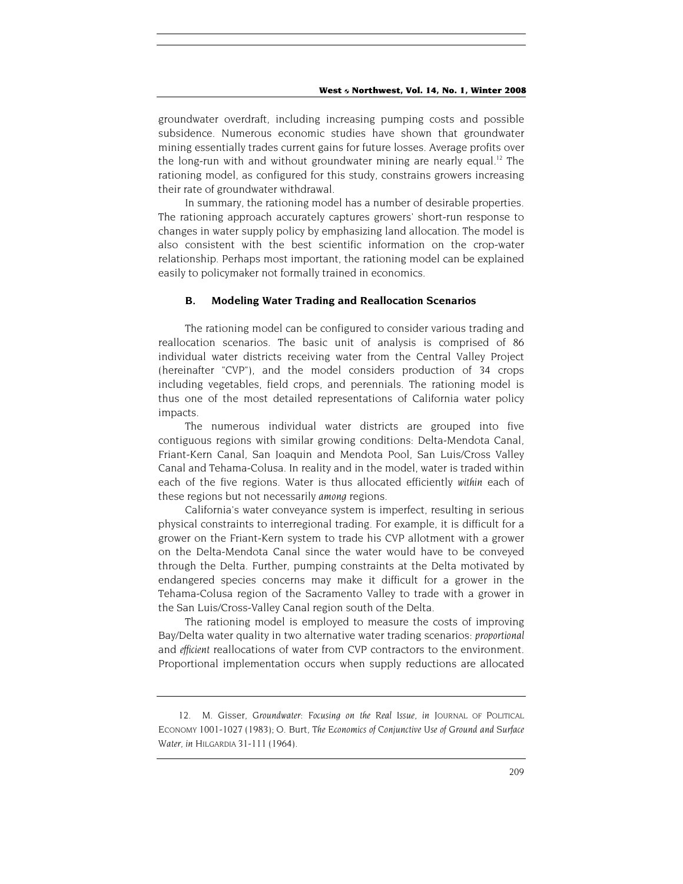groundwater overdraft, including increasing pumping costs and possible subsidence. Numerous economic studies have shown that groundwater mining essentially trades current gains for future losses. Average profits over the long-run with and without groundwater mining are nearly equal.<sup>12</sup> The rationing model, as configured for this study, constrains growers increasing their rate of groundwater withdrawal.

In summary, the rationing model has a number of desirable properties. The rationing approach accurately captures growers' short-run response to changes in water supply policy by emphasizing land allocation. The model is also consistent with the best scientific information on the crop-water relationship. Perhaps most important, the rationing model can be explained easily to policymaker not formally trained in economics.

#### **B. Modeling Water Trading and Reallocation Scenarios**

The rationing model can be configured to consider various trading and reallocation scenarios. The basic unit of analysis is comprised of 86 individual water districts receiving water from the Central Valley Project (hereinafter "CVP"), and the model considers production of 34 crops including vegetables, field crops, and perennials. The rationing model is thus one of the most detailed representations of California water policy impacts.

The numerous individual water districts are grouped into five contiguous regions with similar growing conditions: Delta-Mendota Canal, Friant-Kern Canal, San Joaquin and Mendota Pool, San Luis/Cross Valley Canal and Tehama-Colusa. In reality and in the model, water is traded within each of the five regions. Water is thus allocated efficiently *within* each of these regions but not necessarily *among* regions.

California's water conveyance system is imperfect, resulting in serious physical constraints to interregional trading. For example, it is difficult for a grower on the Friant-Kern system to trade his CVP allotment with a grower on the Delta-Mendota Canal since the water would have to be conveyed through the Delta. Further, pumping constraints at the Delta motivated by endangered species concerns may make it difficult for a grower in the Tehama-Colusa region of the Sacramento Valley to trade with a grower in the San Luis/Cross-Valley Canal region south of the Delta.

The rationing model is employed to measure the costs of improving Bay/Delta water quality in two alternative water trading scenarios: *proportional*  and *efficient* reallocations of water from CVP contractors to the environment. Proportional implementation occurs when supply reductions are allocated

<sup>12.</sup> M. Gisser, *Groundwater: Focusing on the Real Issue*, *in* JOURNAL OF POLITICAL ECONOMY 1001-1027 (1983); O. Burt, *The Economics of Conjunctive Use of Ground and Surface Water*, *in* HILGARDIA 31-111 (1964).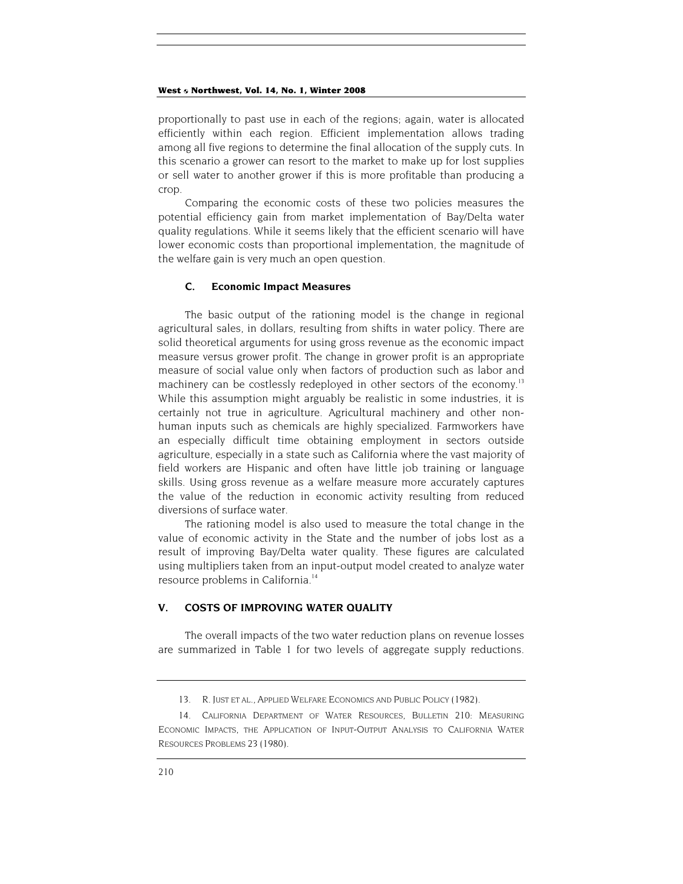proportionally to past use in each of the regions; again, water is allocated efficiently within each region. Efficient implementation allows trading among all five regions to determine the final allocation of the supply cuts. In this scenario a grower can resort to the market to make up for lost supplies or sell water to another grower if this is more profitable than producing a crop.

Comparing the economic costs of these two policies measures the potential efficiency gain from market implementation of Bay/Delta water quality regulations. While it seems likely that the efficient scenario will have lower economic costs than proportional implementation, the magnitude of the welfare gain is very much an open question.

#### **C. Economic Impact Measures**

The basic output of the rationing model is the change in regional agricultural sales, in dollars, resulting from shifts in water policy. There are solid theoretical arguments for using gross revenue as the economic impact measure versus grower profit. The change in grower profit is an appropriate measure of social value only when factors of production such as labor and machinery can be costlessly redeployed in other sectors of the economy.<sup>13</sup> While this assumption might arguably be realistic in some industries, it is certainly not true in agriculture. Agricultural machinery and other nonhuman inputs such as chemicals are highly specialized. Farmworkers have an especially difficult time obtaining employment in sectors outside agriculture, especially in a state such as California where the vast majority of field workers are Hispanic and often have little job training or language skills. Using gross revenue as a welfare measure more accurately captures the value of the reduction in economic activity resulting from reduced diversions of surface water.

The rationing model is also used to measure the total change in the value of economic activity in the State and the number of jobs lost as a result of improving Bay/Delta water quality. These figures are calculated using multipliers taken from an input-output model created to analyze water resource problems in California.<sup>14</sup>

## **V. COSTS OF IMPROVING WATER QUALITY**

The overall impacts of the two water reduction plans on revenue losses are summarized in Table 1 for two levels of aggregate supply reductions.

<sup>13.</sup> R. JUST ET AL., APPLIED WELFARE ECONOMICS AND PUBLIC POLICY (1982).

<sup>14.</sup> CALIFORNIA DEPARTMENT OF WATER RESOURCES, BULLETIN 210: MEASURING ECONOMIC IMPACTS, THE APPLICATION OF INPUT-OUTPUT ANALYSIS TO CALIFORNIA WATER RESOURCES PROBLEMS 23 (1980).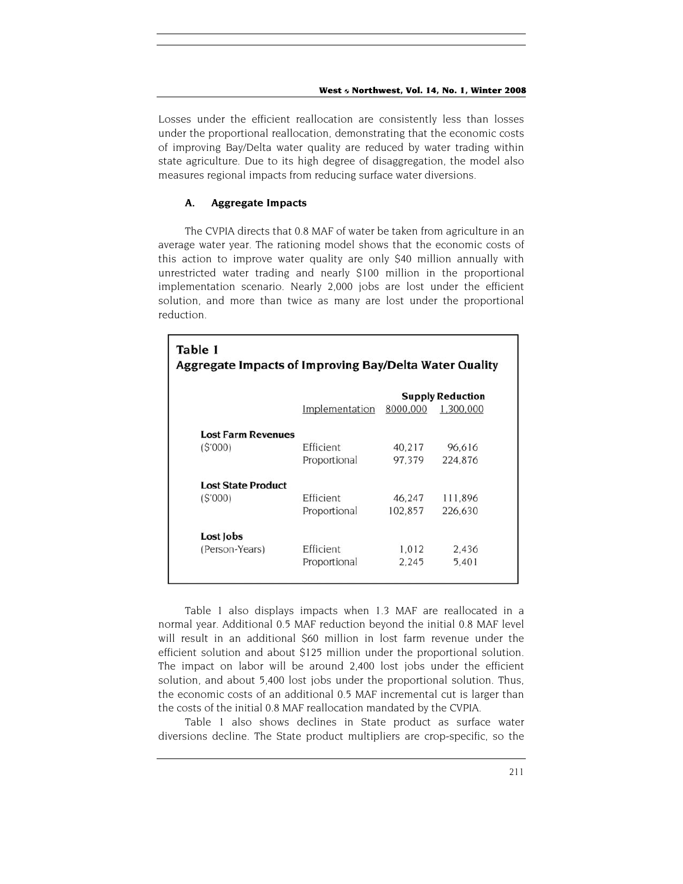Losses under the efficient reallocation are consistently less than losses under the proportional reallocation, demonstrating that the economic costs of improving Bay/Delta water quality are reduced by water trading within state agriculture. Due to its high degree of disaggregation, the model also measures regional impacts from reducing surface water diversions.

## **A. Aggregate Impacts**

The CVPIA directs that 0.8 MAF of water be taken from agriculture in an average water year. The rationing model shows that the economic costs of this action to improve water quality are only \$40 million annually with unrestricted water trading and nearly \$100 million in the proportional implementation scenario. Nearly 2,000 jobs are lost under the efficient solution, and more than twice as many are lost under the proportional reduction.

| Table 1<br><b>Aggregate Impacts of Improving Bay/Delta Water Quality</b> |                    |                         |           |  |  |
|--------------------------------------------------------------------------|--------------------|-------------------------|-----------|--|--|
|                                                                          |                    | <b>Supply Reduction</b> |           |  |  |
|                                                                          | Implementation     | 8000,000                | 1.300.000 |  |  |
| <b>Lost Farm Revenues</b>                                                |                    |                         |           |  |  |
| (S'000)                                                                  | Efficient          | 40.217                  | 96,616    |  |  |
|                                                                          | Proportional       | 97.379                  | 224,876   |  |  |
| <b>Lost State Product</b>                                                |                    |                         |           |  |  |
| (S'000)                                                                  | Efficient          | 46.247                  | 111.896   |  |  |
|                                                                          | Proportional       | 102,857                 | 226,630   |  |  |
| Lost Jobs                                                                |                    |                         |           |  |  |
| (Person-Years)                                                           | Efficient<br>1,012 | 2.436                   |           |  |  |
|                                                                          | Proportional       | 2,245                   | 5.401     |  |  |
|                                                                          |                    |                         |           |  |  |

Table 1 also displays impacts when 1.3 MAF are reallocated in a normal year. Additional 0.5 MAF reduction beyond the initial 0.8 MAF level will result in an additional \$60 million in lost farm revenue under the efficient solution and about \$125 million under the proportional solution. The impact on labor will be around 2,400 lost jobs under the efficient solution, and about 5,400 lost jobs under the proportional solution. Thus, the economic costs of an additional 0.5 MAF incremental cut is larger than the costs of the initial 0.8 MAF reallocation mandated by the CVPIA.

Table 1 also shows declines in State product as surface water diversions decline. The State product multipliers are crop-specific, so the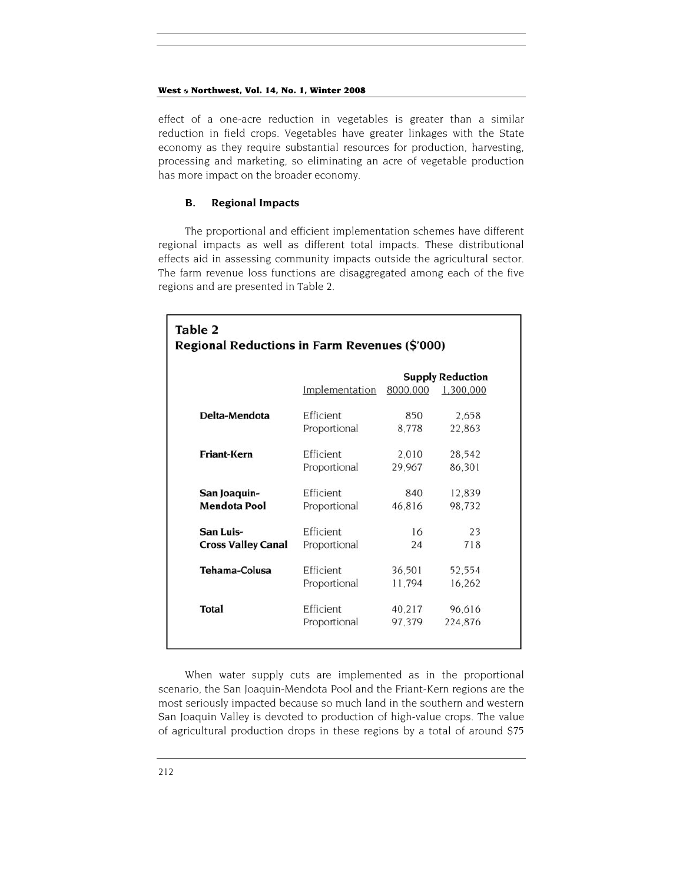effect of a one-acre reduction in vegetables is greater than a similar reduction in field crops. Vegetables have greater linkages with the State economy as they require substantial resources for production, harvesting, processing and marketing, so eliminating an acre of vegetable production has more impact on the broader economy.

### **B. Regional Impacts**

The proportional and efficient implementation schemes have different regional impacts as well as different total impacts. These distributional effects aid in assessing community impacts outside the agricultural sector. The farm revenue loss functions are disaggregated among each of the five regions and are presented in Table 2.

| Table 2<br>Regional Reductions in Farm Revenues (\$'000) |                |                         |           |  |
|----------------------------------------------------------|----------------|-------------------------|-----------|--|
|                                                          |                | <b>Supply Reduction</b> |           |  |
|                                                          | Implementation | 8000,000                | 1,300,000 |  |
| Delta-Mendota                                            | Efficient      | 850                     | 2,658     |  |
|                                                          | Proportional   | 8,778                   | 22.863    |  |
| <b>Friant-Kern</b>                                       | Efficient      | 2,010                   | 28,542    |  |
|                                                          | Proportional   | 29,967                  | 86.301    |  |
| San Joaquin-                                             | Efficient      | 840                     | 12.839    |  |
| <b>Mendota Pool</b>                                      | Proportional   | 46.816                  | 98.732    |  |
| San Luis-                                                | Efficient      | 16                      | 23        |  |
| <b>Cross Valley Canal</b>                                | Proportional   | 24                      | 718       |  |
| <b>Tehama-Colusa</b>                                     | Efficient      | 36,501                  | 52,554    |  |
|                                                          | Proportional   | 11,794                  | 16,262    |  |
| <b>Total</b>                                             | Efficient      | 40,217                  | 96.616    |  |
|                                                          | Proportional   | 97,379                  | 224,876   |  |

When water supply cuts are implemented as in the proportional scenario, the San Joaquin-Mendota Pool and the Friant-Kern regions are the most seriously impacted because so much land in the southern and western San Joaquin Valley is devoted to production of high-value crops. The value of agricultural production drops in these regions by a total of around \$75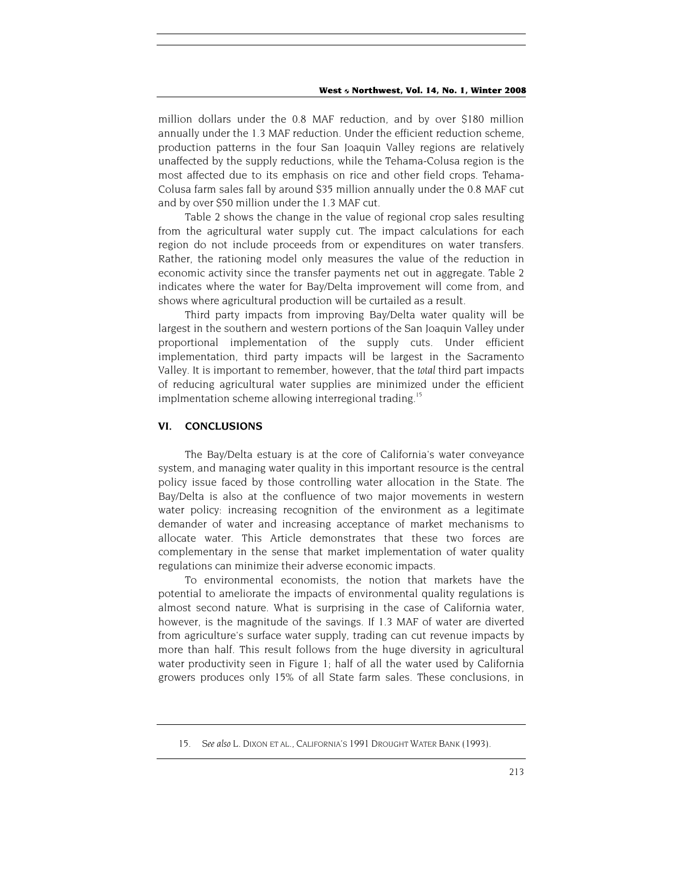million dollars under the 0.8 MAF reduction, and by over \$180 million annually under the 1.3 MAF reduction. Under the efficient reduction scheme, production patterns in the four San Joaquin Valley regions are relatively unaffected by the supply reductions, while the Tehama-Colusa region is the most affected due to its emphasis on rice and other field crops. Tehama-Colusa farm sales fall by around \$35 million annually under the 0.8 MAF cut and by over \$50 million under the 1.3 MAF cut.

Table 2 shows the change in the value of regional crop sales resulting from the agricultural water supply cut. The impact calculations for each region do not include proceeds from or expenditures on water transfers. Rather, the rationing model only measures the value of the reduction in economic activity since the transfer payments net out in aggregate. Table 2 indicates where the water for Bay/Delta improvement will come from, and shows where agricultural production will be curtailed as a result.

Third party impacts from improving Bay/Delta water quality will be largest in the southern and western portions of the San Joaquin Valley under proportional implementation of the supply cuts. Under efficient implementation, third party impacts will be largest in the Sacramento Valley. It is important to remember, however, that the *total* third part impacts of reducing agricultural water supplies are minimized under the efficient implmentation scheme allowing interregional trading.<sup>15</sup>

#### **VI. CONCLUSIONS**

The Bay/Delta estuary is at the core of California's water conveyance system, and managing water quality in this important resource is the central policy issue faced by those controlling water allocation in the State. The Bay/Delta is also at the confluence of two major movements in western water policy: increasing recognition of the environment as a legitimate demander of water and increasing acceptance of market mechanisms to allocate water. This Article demonstrates that these two forces are complementary in the sense that market implementation of water quality regulations can minimize their adverse economic impacts.

To environmental economists, the notion that markets have the potential to ameliorate the impacts of environmental quality regulations is almost second nature. What is surprising in the case of California water, however, is the magnitude of the savings. If 1.3 MAF of water are diverted from agriculture's surface water supply, trading can cut revenue impacts by more than half. This result follows from the huge diversity in agricultural water productivity seen in Figure 1; half of all the water used by California growers produces only 15% of all State farm sales. These conclusions, in

<sup>15</sup>*. See also* L. DIXON ET AL., CALIFORNIA'S 1991 DROUGHT WATER BANK (1993).